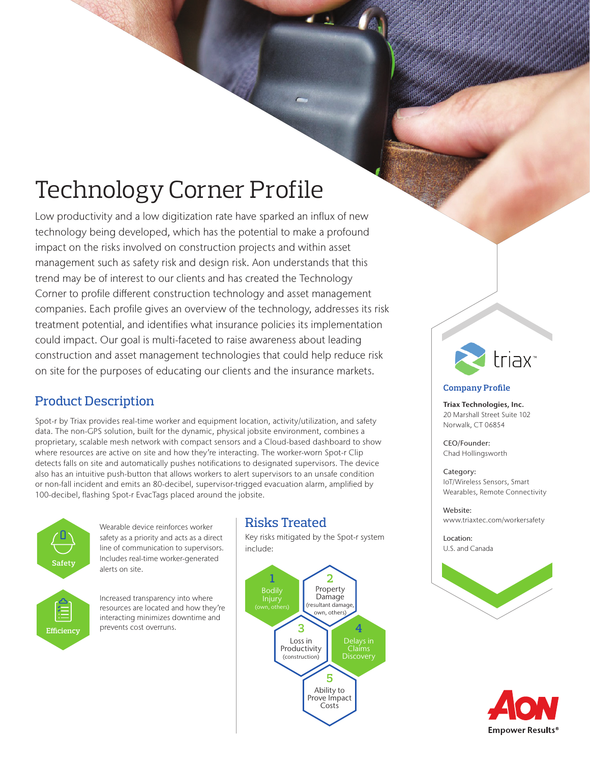# Technology Corner Profile

Low productivity and a low digitization rate have sparked an influx of new technology being developed, which has the potential to make a profound impact on the risks involved on construction projects and within asset management such as safety risk and design risk. Aon understands that this trend may be of interest to our clients and has created the Technology Corner to profile different construction technology and asset management companies. Each profile gives an overview of the technology, addresses its risk treatment potential, and identifies what insurance policies its implementation could impact. Our goal is multi-faceted to raise awareness about leading construction and asset management technologies that could help reduce risk on site for the purposes of educating our clients and the insurance markets.

## Product Description

Spot-r by Triax provides real-time worker and equipment location, activity/utilization, and safety data. The non-GPS solution, built for the dynamic, physical jobsite environment, combines a proprietary, scalable mesh network with compact sensors and a Cloud-based dashboard to show where resources are active on site and how they're interacting. The worker-worn Spot-r Clip detects falls on site and automatically pushes notifications to designated supervisors. The device also has an intuitive push-button that allows workers to alert supervisors to an unsafe condition or non-fall incident and emits an 80-decibel, supervisor-trigged evacuation alarm, amplified by 100-decibel, flashing Spot-r EvacTags placed around the jobsite.



Wearable device reinforces worker safety as a priority and acts as a direct line of communication to supervisors. Includes real-time worker-generated alerts on site.

Increased transparency into where resources are located and how they're interacting minimizes downtime and prevents cost overruns.

# Risks Treated

Key risks mitigated by the Spot-r system include:





#### **Company Profile**

Triax Technologies, Inc. 20 Marshall Street Suite 102 Norwalk, CT 06854

CEO/Founder: Chad Hollingsworth

Category: IoT/Wireless Sensors, Smart Wearables, Remote Connectivity

Website: www.triaxtec.com/workersafety

Location: U.S. and Canada